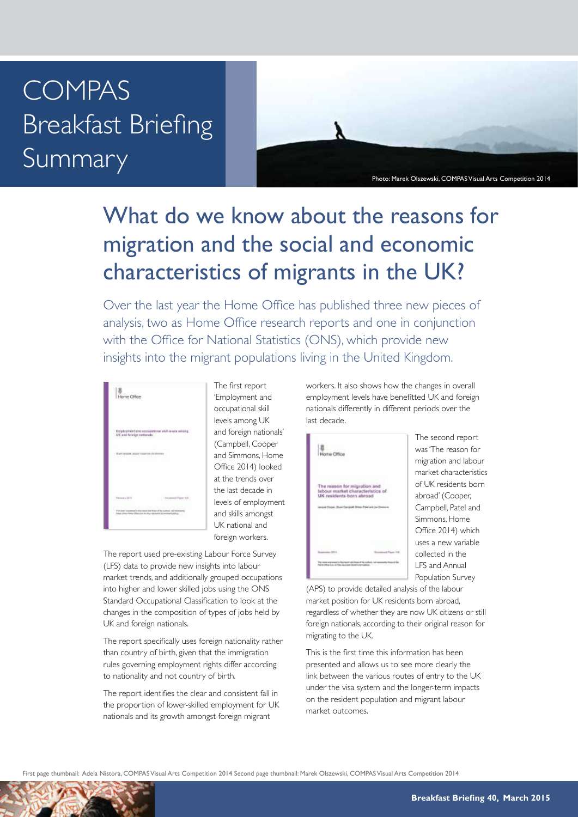## COMPAS Breakfast Briefing Summary

Photo: Marek Olszewski, COMPAS Visual Arts Competition 2014

## What do we know about the reasons for migration and the social and economic characteristics of migrants in the UK?

Over the last year the Home Office has published three new pieces of analysis, two as Home Office research reports and one in conjunction with the Office for National Statistics (ONS), which provide new insights into the migrant populations living in the United Kingdom.



The first report 'Employment and occupational skill levels among UK and foreign nationals' (Campbell, Cooper and Simmons, Home Office 2014) looked at the trends over the last decade in levels of employment and skills amongst UK national and foreign workers.

The report used pre-existing Labour Force Survey (LFS) data to provide new insights into labour market trends, and additionally grouped occupations into higher and lower skilled jobs using the ONS Standard Occupational Classification to look at the changes in the composition of types of jobs held by UK and foreign nationals.

The report specifically uses foreign nationality rather than country of birth, given that the immigration rules governing employment rights differ according to nationality and not country of birth.

The report identifies the clear and consistent fall in the proportion of lower-skilled employment for UK nationals and its growth amongst foreign migrant

workers. It also shows how the changes in overall employment levels have benefitted UK and foreign nationals differently in different periods over the last decade.



The second report was 'The reason for migration and labour market characteristics of UK residents born abroad' (Cooper, Campbell, Patel and Simmons, Home Office 2014) which uses a new variable collected in the LFS and Annual Population Survey

(APS) to provide detailed analysis of the labour market position for UK residents born abroad, regardless of whether they are now UK citizens or still foreign nationals, according to their original reason for migrating to the UK.

This is the first time this information has been presented and allows us to see more clearly the link between the various routes of entry to the UK under the visa system and the longer-term impacts on the resident population and migrant labour market outcomes.

First page thumbnail: Adela Nistora, COMPAS Visual Arts Competition 2014 Second page thumbnail: Marek Olszewski, COMPAS Visual Arts Competition 2014